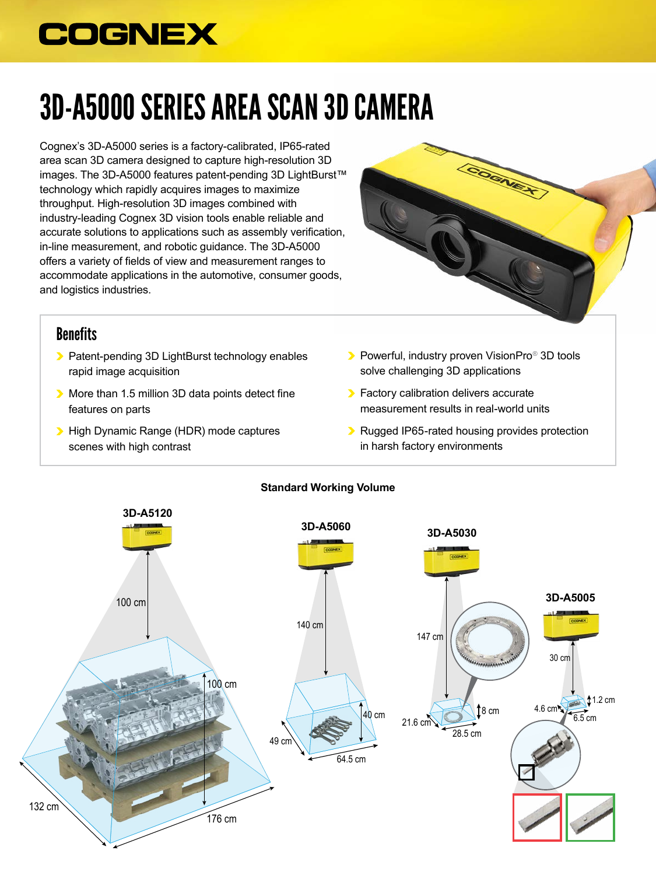## **COGNEX**

# 3D-A5000 SERIES AREA SCAN 3D CAMERA

Cognex's 3D-A5000 series is a factory-calibrated, IP65-rated area scan 3D camera designed to capture high-resolution 3D images. The 3D-A5000 features patent-pending 3D LightBurst™ technology which rapidly acquires images to maximize throughput. High-resolution 3D images combined with industry-leading Cognex 3D vision tools enable reliable and accurate solutions to applications such as assembly verification, in-line measurement, and robotic guidance. The 3D-A5000 offers a variety of fields of view and measurement ranges to accommodate applications in the automotive, consumer goods, and logistics industries.



#### **Benefits**

- **•** Patent-pending 3D LightBurst technology enables rapid image acquisition
- **More than 1.5 million 3D data points detect fine** features on parts
- High Dynamic Range (HDR) mode captures scenes with high contrast
- **Powerful, industry proven VisionPro<sup>®</sup> 3D tools** solve challenging 3D applications
- **Factory calibration delivers accurate** measurement results in real-world units
- Rugged IP65-rated housing provides protection in harsh factory environments



#### **Standard Working Volume**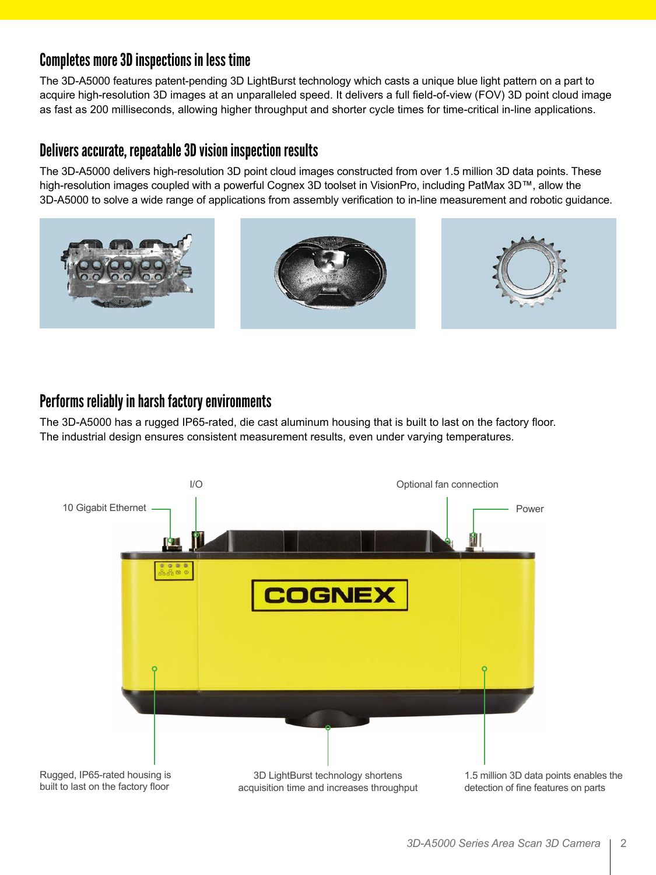## Completes more 3D inspections in less time

The 3D-A5000 features patent-pending 3D LightBurst technology which casts a unique blue light pattern on a part to acquire high-resolution 3D images at an unparalleled speed. It delivers a full field-of-view (FOV) 3D point cloud image as fast as 200 milliseconds, allowing higher throughput and shorter cycle times for time-critical in-line applications.

### Delivers accurate, repeatable 3D vision inspection results

The 3D-A5000 delivers high-resolution 3D point cloud images constructed from over 1.5 million 3D data points. These high-resolution images coupled with a powerful Cognex 3D toolset in VisionPro, including PatMax 3D™, allow the 3D-A5000 to solve a wide range of applications from assembly verification to in-line measurement and robotic guidance.



## Performs reliably in harsh factory environments

The 3D-A5000 has a rugged IP65-rated, die cast aluminum housing that is built to last on the factory floor. The industrial design ensures consistent measurement results, even under varying temperatures.